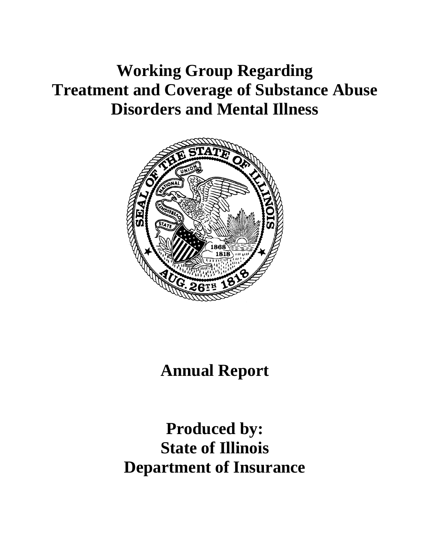# **Working Group Regarding Treatment and Coverage of Substance Abuse Disorders and Mental Illness**



**Annual Report**

**Produced by: State of Illinois Department of Insurance**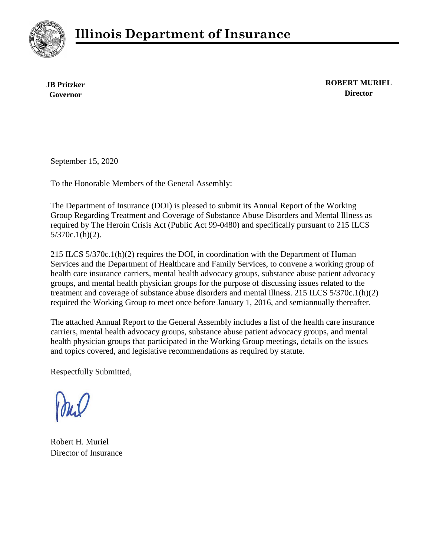



**JB Pritzker Governor**

**ROBERT MURIEL Director**

September 15, 2020

To the Honorable Members of the General Assembly:

The Department of Insurance (DOI) is pleased to submit its Annual Report of the Working Group Regarding Treatment and Coverage of Substance Abuse Disorders and Mental Illness as required by The Heroin Crisis Act (Public Act 99-0480) and specifically pursuant to 215 ILCS 5/370c.1(h)(2).

215 ILCS 5/370c.1(h)(2) requires the DOI, in coordination with the Department of Human Services and the Department of Healthcare and Family Services, to convene a working group of health care insurance carriers, mental health advocacy groups, substance abuse patient advocacy groups, and mental health physician groups for the purpose of discussing issues related to the treatment and coverage of substance abuse disorders and mental illness. 215 ILCS 5/370c.1(h)(2) required the Working Group to meet once before January 1, 2016, and semiannually thereafter.

The attached Annual Report to the General Assembly includes a list of the health care insurance carriers, mental health advocacy groups, substance abuse patient advocacy groups, and mental health physician groups that participated in the Working Group meetings, details on the issues and topics covered, and legislative recommendations as required by statute.

Respectfully Submitted,

Robert H. Muriel Director of Insurance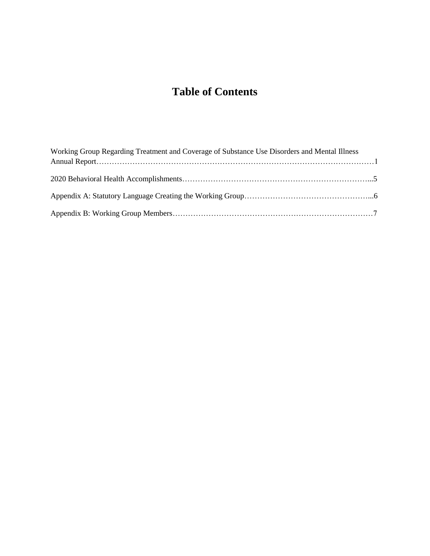# **Table of Contents**

| Working Group Regarding Treatment and Coverage of Substance Use Disorders and Mental Illness |  |
|----------------------------------------------------------------------------------------------|--|
|                                                                                              |  |
|                                                                                              |  |
|                                                                                              |  |
|                                                                                              |  |
|                                                                                              |  |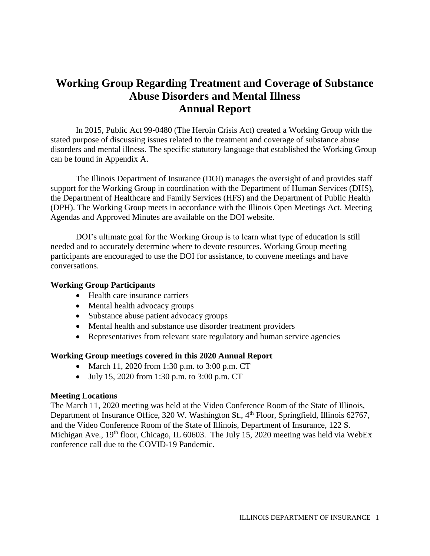# **Working Group Regarding Treatment and Coverage of Substance Abuse Disorders and Mental Illness Annual Report**

In 2015, Public Act 99‐0480 (The Heroin Crisis Act) created a Working Group with the stated purpose of discussing issues related to the treatment and coverage of substance abuse disorders and mental illness. The specific statutory language that established the Working Group can be found in Appendix A.

The Illinois Department of Insurance (DOI) manages the oversight of and provides staff support for the Working Group in coordination with the Department of Human Services (DHS), the Department of Healthcare and Family Services (HFS) and the Department of Public Health (DPH). The Working Group meets in accordance with the Illinois Open Meetings Act. Meeting Agendas and Approved Minutes are available on the DOI website.

DOI's ultimate goal for the Working Group is to learn what type of education is still needed and to accurately determine where to devote resources. Working Group meeting participants are encouraged to use the DOI for assistance, to convene meetings and have conversations.

#### **Working Group Participants**

- Health care insurance carriers
- Mental health advocacy groups
- Substance abuse patient advocacy groups
- Mental health and substance use disorder treatment providers
- Representatives from relevant state regulatory and human service agencies

#### **Working Group meetings covered in this 2020 Annual Report**

- March 11, 2020 from 1:30 p.m. to 3:00 p.m. CT
- July 15, 2020 from 1:30 p.m. to 3:00 p.m. CT

#### **Meeting Locations**

The March 11, 2020 meeting was held at the Video Conference Room of the State of Illinois, Department of Insurance Office, 320 W. Washington St., 4<sup>th</sup> Floor, Springfield, Illinois 62767, and the Video Conference Room of the State of Illinois, Department of Insurance, 122 S. Michigan Ave.,  $19<sup>th</sup>$  floor, Chicago, IL 60603. The July 15, 2020 meeting was held via WebEx conference call due to the COVID-19 Pandemic.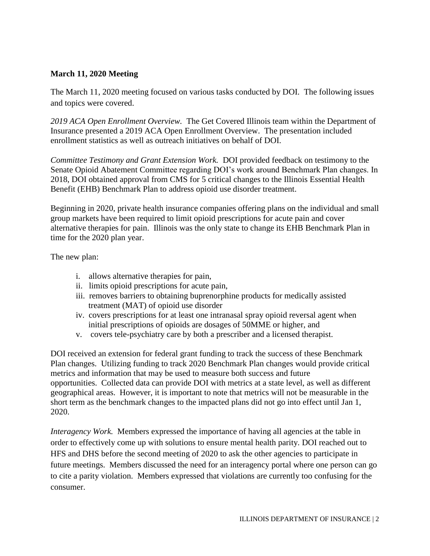# **March 11, 2020 Meeting**

The March 11, 2020 meeting focused on various tasks conducted by DOI. The following issues and topics were covered.

*2019 ACA Open Enrollment Overview.* The Get Covered Illinois team within the Department of Insurance presented a 2019 ACA Open Enrollment Overview. The presentation included enrollment statistics as well as outreach initiatives on behalf of DOI.

*Committee Testimony and Grant Extension Work.* DOI provided feedback on testimony to the Senate Opioid Abatement Committee regarding DOI's work around Benchmark Plan changes. In 2018, DOI obtained approval from CMS for 5 critical changes to the Illinois Essential Health Benefit (EHB) Benchmark Plan to address opioid use disorder treatment.

Beginning in 2020, private health insurance companies offering plans on the individual and small group markets have been required to limit opioid prescriptions for acute pain and cover alternative therapies for pain. Illinois was the only state to change its EHB Benchmark Plan in time for the 2020 plan year.

The new plan:

- i. allows alternative therapies for pain,
- ii. limits opioid prescriptions for acute pain,
- iii. removes barriers to obtaining buprenorphine products for medically assisted treatment (MAT) of opioid use disorder
- iv. covers prescriptions for at least one intranasal spray opioid reversal agent when initial prescriptions of opioids are dosages of 50MME or higher, and
- v. covers tele-psychiatry care by both a prescriber and a licensed therapist.

DOI received an extension for federal grant funding to track the success of these Benchmark Plan changes. Utilizing funding to track 2020 Benchmark Plan changes would provide critical metrics and information that may be used to measure both success and future opportunities. Collected data can provide DOI with metrics at a state level, as well as different geographical areas. However, it is important to note that metrics will not be measurable in the short term as the benchmark changes to the impacted plans did not go into effect until Jan 1, 2020.

*Interagency Work.* Members expressed the importance of having all agencies at the table in order to effectively come up with solutions to ensure mental health parity. DOI reached out to HFS and DHS before the second meeting of 2020 to ask the other agencies to participate in future meetings. Members discussed the need for an interagency portal where one person can go to cite a parity violation. Members expressed that violations are currently too confusing for the consumer.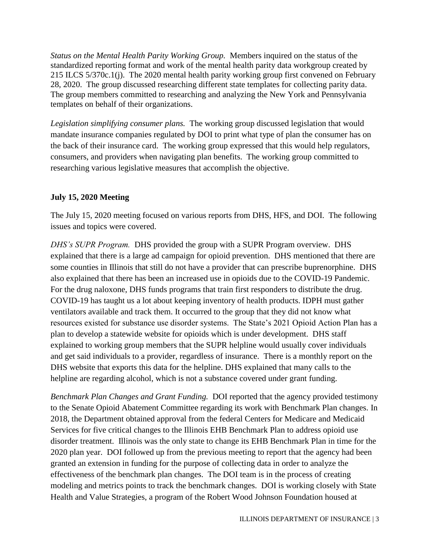*Status on the Mental Health Parity Working Group.* Members inquired on the status of the standardized reporting format and work of the mental health parity data workgroup created by 215 ILCS 5/370c.1(j). The 2020 mental health parity working group first convened on February 28, 2020. The group discussed researching different state templates for collecting parity data. The group members committed to researching and analyzing the New York and Pennsylvania templates on behalf of their organizations.

*Legislation simplifying consumer plans.* The working group discussed legislation that would mandate insurance companies regulated by DOI to print what type of plan the consumer has on the back of their insurance card. The working group expressed that this would help regulators, consumers, and providers when navigating plan benefits. The working group committed to researching various legislative measures that accomplish the objective.

# **July 15, 2020 Meeting**

The July 15, 2020 meeting focused on various reports from DHS, HFS, and DOI. The following issues and topics were covered.

*DHS's SUPR Program.* DHS provided the group with a SUPR Program overview. DHS explained that there is a large ad campaign for opioid prevention. DHS mentioned that there are some counties in Illinois that still do not have a provider that can prescribe buprenorphine. DHS also explained that there has been an increased use in opioids due to the COVID-19 Pandemic. For the drug naloxone, DHS funds programs that train first responders to distribute the drug. COVID-19 has taught us a lot about keeping inventory of health products. IDPH must gather ventilators available and track them. It occurred to the group that they did not know what resources existed for substance use disorder systems. The State's 2021 Opioid Action Plan has a plan to develop a statewide website for opioids which is under development. DHS staff explained to working group members that the SUPR helpline would usually cover individuals and get said individuals to a provider, regardless of insurance. There is a monthly report on the DHS website that exports this data for the helpline. DHS explained that many calls to the helpline are regarding alcohol, which is not a substance covered under grant funding.

*Benchmark Plan Changes and Grant Funding.* DOI reported that the agency provided testimony to the Senate Opioid Abatement Committee regarding its work with Benchmark Plan changes. In 2018, the Department obtained approval from the federal Centers for Medicare and Medicaid Services for five critical changes to the Illinois EHB Benchmark Plan to address opioid use disorder treatment. Illinois was the only state to change its EHB Benchmark Plan in time for the 2020 plan year. DOI followed up from the previous meeting to report that the agency had been granted an extension in funding for the purpose of collecting data in order to analyze the effectiveness of the benchmark plan changes. The DOI team is in the process of creating modeling and metrics points to track the benchmark changes. DOI is working closely with State Health and Value Strategies, a program of the Robert Wood Johnson Foundation housed at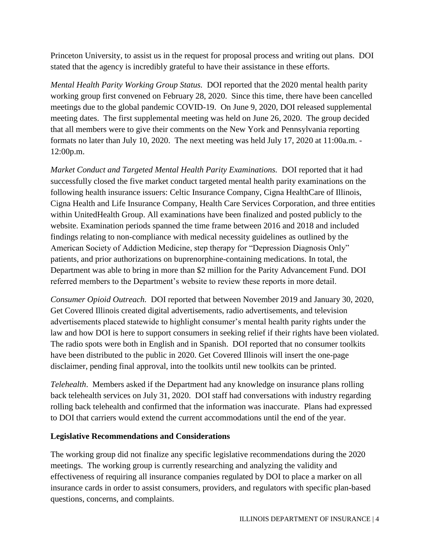Princeton University, to assist us in the request for proposal process and writing out plans. DOI stated that the agency is incredibly grateful to have their assistance in these efforts.

*Mental Health Parity Working Group Status.* DOI reported that the 2020 mental health parity working group first convened on February 28, 2020. Since this time, there have been cancelled meetings due to the global pandemic COVID-19. On June 9, 2020, DOI released supplemental meeting dates. The first supplemental meeting was held on June 26, 2020. The group decided that all members were to give their comments on the New York and Pennsylvania reporting formats no later than July 10, 2020. The next meeting was held July 17, 2020 at 11:00a.m. - 12:00p.m.

*Market Conduct and Targeted Mental Health Parity Examinations.* DOI reported that it had successfully closed the five market conduct targeted mental health parity examinations on the following health insurance issuers: Celtic Insurance Company, Cigna HealthCare of Illinois, Cigna Health and Life Insurance Company, Health Care Services Corporation, and three entities within UnitedHealth Group. All examinations have been finalized and posted publicly to the website. Examination periods spanned the time frame between 2016 and 2018 and included findings relating to non-compliance with medical necessity guidelines as outlined by the American Society of Addiction Medicine, step therapy for "Depression Diagnosis Only" patients, and prior authorizations on buprenorphine-containing medications. In total, the Department was able to bring in more than \$2 million for the Parity Advancement Fund. DOI referred members to the Department's website to review these reports in more detail.

*Consumer Opioid Outreach.* DOI reported that between November 2019 and January 30, 2020, Get Covered Illinois created digital advertisements, radio advertisements, and television advertisements placed statewide to highlight consumer's mental health parity rights under the law and how DOI is here to support consumers in seeking relief if their rights have been violated. The radio spots were both in English and in Spanish. DOI reported that no consumer toolkits have been distributed to the public in 2020. Get Covered Illinois will insert the one-page disclaimer, pending final approval, into the toolkits until new toolkits can be printed.

*Telehealth*. Members asked if the Department had any knowledge on insurance plans rolling back telehealth services on July 31, 2020. DOI staff had conversations with industry regarding rolling back telehealth and confirmed that the information was inaccurate. Plans had expressed to DOI that carriers would extend the current accommodations until the end of the year.

# **Legislative Recommendations and Considerations**

The working group did not finalize any specific legislative recommendations during the 2020 meetings. The working group is currently researching and analyzing the validity and effectiveness of requiring all insurance companies regulated by DOI to place a marker on all insurance cards in order to assist consumers, providers, and regulators with specific plan-based questions, concerns, and complaints.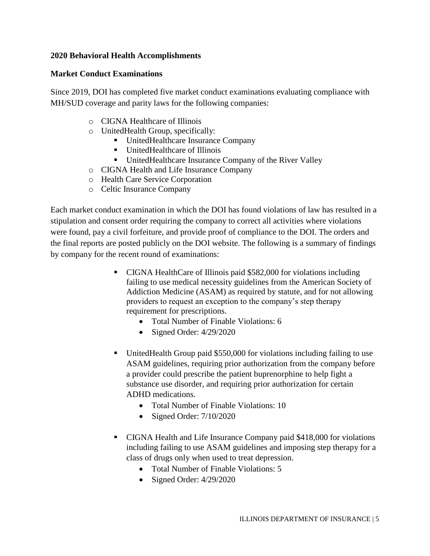### **2020 Behavioral Health Accomplishments**

#### **Market Conduct Examinations**

Since 2019, DOI has completed five market conduct examinations evaluating compliance with MH/SUD coverage and parity laws for the following companies:

- o CIGNA Healthcare of Illinois
- o UnitedHealth Group, specifically:
	- UnitedHealthcare Insurance Company
	- UnitedHealthcare of Illinois
	- UnitedHealthcare Insurance Company of the River Valley
- o CIGNA Health and Life Insurance Company
- o Health Care Service Corporation
- o Celtic Insurance Company

Each market conduct examination in which the DOI has found violations of law has resulted in a stipulation and consent order requiring the company to correct all activities where violations were found, pay a civil forfeiture, and provide proof of compliance to the DOI. The orders and the final reports are posted publicly on the DOI website. The following is a summary of findings by company for the recent round of examinations:

- CIGNA HealthCare of Illinois paid \$582,000 for violations including failing to use medical necessity guidelines from the American Society of Addiction Medicine (ASAM) as required by statute, and for not allowing providers to request an exception to the company's step therapy requirement for prescriptions.
	- Total Number of Finable Violations: 6
	- Signed Order:  $4/29/2020$
- UnitedHealth Group paid \$550,000 for violations including failing to use ASAM guidelines, requiring prior authorization from the company before a provider could prescribe the patient buprenorphine to help fight a substance use disorder, and requiring prior authorization for certain ADHD medications.
	- Total Number of Finable Violations: 10
	- Signed Order: 7/10/2020
- CIGNA Health and Life Insurance Company paid \$418,000 for violations including failing to use ASAM guidelines and imposing step therapy for a class of drugs only when used to treat depression.
	- Total Number of Finable Violations: 5
	- Signed Order:  $4/29/2020$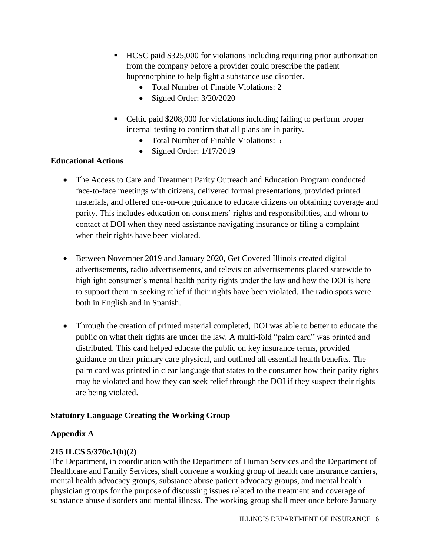- HCSC paid \$325,000 for violations including requiring prior authorization from the company before a provider could prescribe the patient buprenorphine to help fight a substance use disorder.
	- Total Number of Finable Violations: 2
	- Signed Order: 3/20/2020
- Celtic paid \$208,000 for violations including failing to perform proper internal testing to confirm that all plans are in parity.
	- Total Number of Finable Violations: 5
	- Signed Order:  $1/17/2019$

# **Educational Actions**

- The Access to Care and Treatment Parity Outreach and Education Program conducted face-to-face meetings with citizens, delivered formal presentations, provided printed materials, and offered one-on-one guidance to educate citizens on obtaining coverage and parity. This includes education on consumers' rights and responsibilities, and whom to contact at DOI when they need assistance navigating insurance or filing a complaint when their rights have been violated.
- Between November 2019 and January 2020, Get Covered Illinois created digital advertisements, radio advertisements, and television advertisements placed statewide to highlight consumer's mental health parity rights under the law and how the DOI is here to support them in seeking relief if their rights have been violated. The radio spots were both in English and in Spanish.
- Through the creation of printed material completed, DOI was able to better to educate the public on what their rights are under the law. A multi-fold "palm card" was printed and distributed. This card helped educate the public on key insurance terms, provided guidance on their primary care physical, and outlined all essential health benefits. The palm card was printed in clear language that states to the consumer how their parity rights may be violated and how they can seek relief through the DOI if they suspect their rights are being violated.

# **Statutory Language Creating the Working Group**

# **Appendix A**

# **215 ILCS 5/370c.1(h)(2)**

The Department, in coordination with the Department of Human Services and the Department of Healthcare and Family Services, shall convene a working group of health care insurance carriers, mental health advocacy groups, substance abuse patient advocacy groups, and mental health physician groups for the purpose of discussing issues related to the treatment and coverage of substance abuse disorders and mental illness. The working group shall meet once before January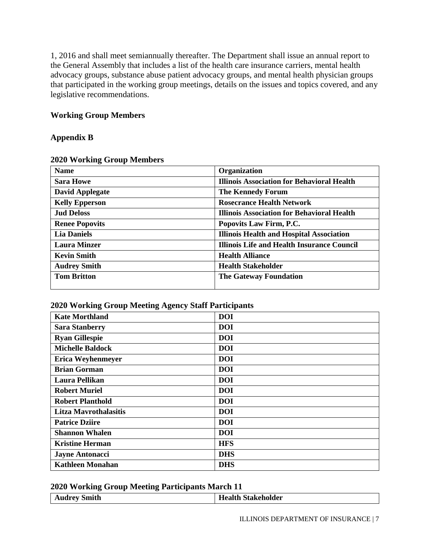1, 2016 and shall meet semiannually thereafter. The Department shall issue an annual report to the General Assembly that includes a list of the health care insurance carriers, mental health advocacy groups, substance abuse patient advocacy groups, and mental health physician groups that participated in the working group meetings, details on the issues and topics covered, and any legislative recommendations.

### **Working Group Members**

#### **Appendix B**

| <b>Name</b>            | Organization                                      |
|------------------------|---------------------------------------------------|
| <b>Sara Howe</b>       | <b>Illinois Association for Behavioral Health</b> |
| <b>David Applegate</b> | <b>The Kennedy Forum</b>                          |
| <b>Kelly Epperson</b>  | <b>Rosecrance Health Network</b>                  |
| <b>Jud Deloss</b>      | <b>Illinois Association for Behavioral Health</b> |
| <b>Renee Popovits</b>  | Popovits Law Firm, P.C.                           |
| <b>Lia Daniels</b>     | <b>Illinois Health and Hospital Association</b>   |
| <b>Laura Minzer</b>    | <b>Illinois Life and Health Insurance Council</b> |
| <b>Kevin Smith</b>     | <b>Health Alliance</b>                            |
| <b>Audrey Smith</b>    | <b>Health Stakeholder</b>                         |
| <b>Tom Britton</b>     | <b>The Gateway Foundation</b>                     |

#### **2020 Working Group Members**

#### **2020 Working Group Meeting Agency Staff Participants**

| <b>Kate Morthland</b>        | <b>DOI</b> |
|------------------------------|------------|
| <b>Sara Stanberry</b>        | <b>DOI</b> |
| <b>Ryan Gillespie</b>        | <b>DOI</b> |
| <b>Michelle Baldock</b>      | <b>DOI</b> |
| Erica Weyhenmeyer            | <b>DOI</b> |
| <b>Brian Gorman</b>          | <b>DOI</b> |
| Laura Pellikan               | <b>DOI</b> |
| <b>Robert Muriel</b>         | <b>DOI</b> |
| <b>Robert Planthold</b>      | <b>DOI</b> |
| <b>Litza Mavrothalasitis</b> | <b>DOI</b> |
| <b>Patrice Dziire</b>        | <b>DOI</b> |
| <b>Shannon Whalen</b>        | <b>DOI</b> |
| <b>Kristine Herman</b>       | <b>HFS</b> |
| <b>Jayne Antonacci</b>       | <b>DHS</b> |
| <b>Kathleen Monahan</b>      | <b>DHS</b> |

#### **2020 Working Group Meeting Participants March 11**

|              | -- | __ |                           |
|--------------|----|----|---------------------------|
| Audrey Smith |    |    | <b>Health Stakeholder</b> |
|              |    |    |                           |